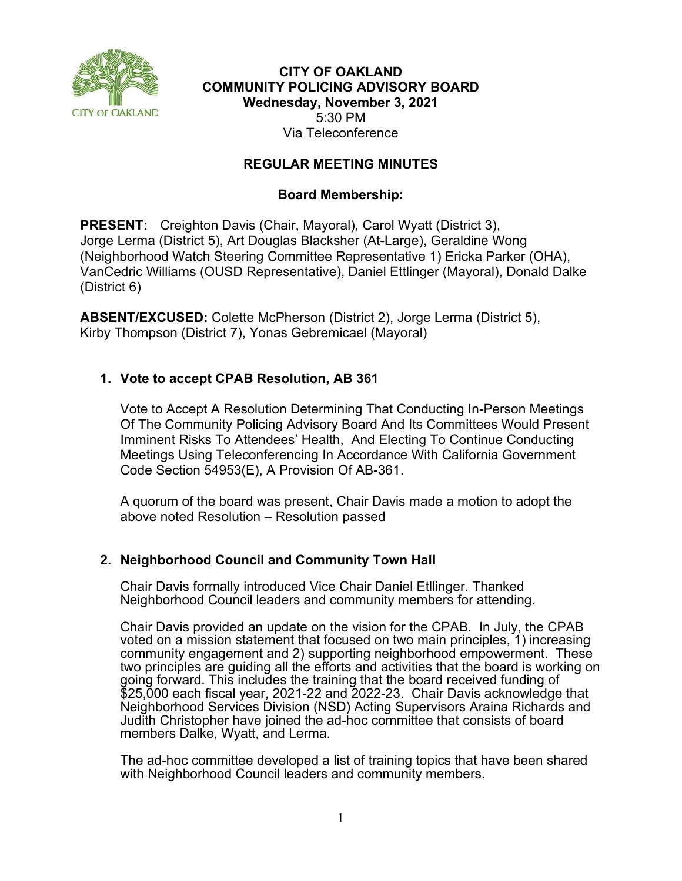

# **CITY OF OAKLAND COMMUNITY POLICING ADVISORY BOARD Wednesday, November 3, 2021** 5:30 PM Via Teleconference

# **REGULAR MEETING MINUTES**

# **Board Membership:**

**PRESENT:** Creighton Davis (Chair, Mayoral), Carol Wyatt (District 3), Jorge Lerma (District 5), Art Douglas Blacksher (At-Large), Geraldine Wong (Neighborhood Watch Steering Committee Representative 1) Ericka Parker (OHA), VanCedric Williams (OUSD Representative), Daniel Ettlinger (Mayoral), Donald Dalke (District 6)

**ABSENT/EXCUSED:** Colette McPherson (District 2), Jorge Lerma (District 5), Kirby Thompson (District 7), Yonas Gebremicael (Mayoral)

# **1. Vote to accept CPAB Resolution, AB 361**

Vote to Accept A Resolution Determining That Conducting In-Person Meetings Of The Community Policing Advisory Board And Its Committees Would Present Imminent Risks To Attendees' Health, And Electing To Continue Conducting Meetings Using Teleconferencing In Accordance With California Government Code Section 54953(E), A Provision Of AB-361.

A quorum of the board was present, Chair Davis made a motion to adopt the above noted Resolution – Resolution passed

## **2. Neighborhood Council and Community Town Hall**

Chair Davis formally introduced Vice Chair Daniel Etllinger. Thanked Neighborhood Council leaders and community members for attending.

Chair Davis provided an update on the vision for the CPAB. In July, the CPAB voted on a mission statement that focused on two main principles, 1) increasing community engagement and 2) supporting neighborhood empowerment. These two principles are guiding all the efforts and activities that the board is working on going forward. This includes the training that the board received funding of \$25,000 each fiscal year, 2021-22 and 2022-23. Chair Davis acknowledge that Neighborhood Services Division (NSD) Acting Supervisors Araina Richards and Judith Christopher have joined the ad-hoc committee that consists of board members Dalke, Wyatt, and Lerma.

The ad-hoc committee developed a list of training topics that have been shared with Neighborhood Council leaders and community members.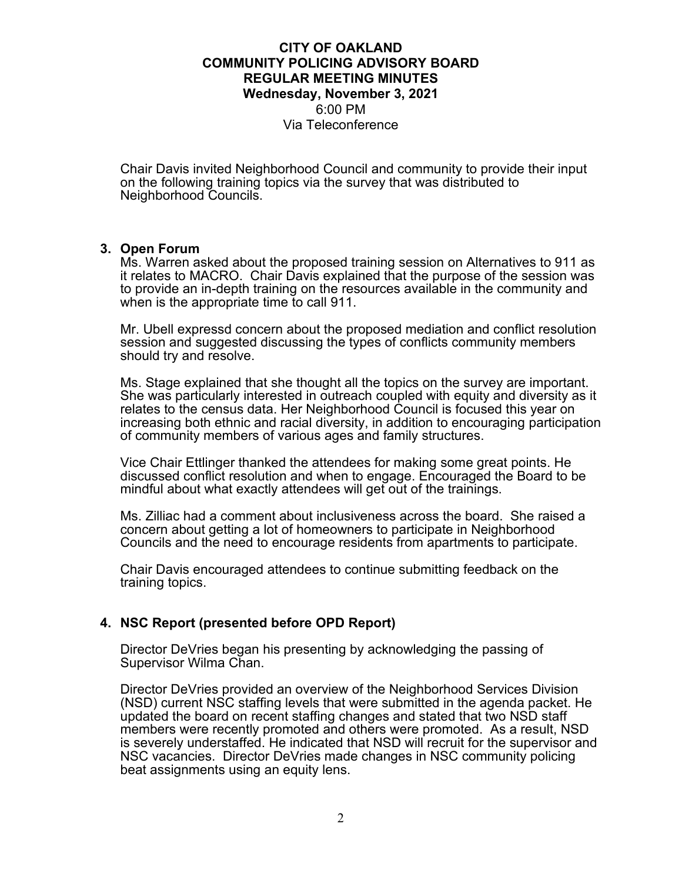## **CITY OF OAKLAND COMMUNITY POLICING ADVISORY BOARD REGULAR MEETING MINUTES Wednesday, November 3, 2021** 6:00 PM Via Teleconference

Chair Davis invited Neighborhood Council and community to provide their input on the following training topics via the survey that was distributed to Neighborhood Councils.

### **3. Open Forum**

Ms. Warren asked about the proposed training session on Alternatives to 911 as it relates to MACRO. Chair Davis explained that the purpose of the session was to provide an in-depth training on the resources available in the community and when is the appropriate time to call 911.

Mr. Ubell expressd concern about the proposed mediation and conflict resolution session and suggested discussing the types of conflicts community members should try and resolve.

Ms. Stage explained that she thought all the topics on the survey are important. She was particularly interested in outreach coupled with equity and diversity as it relates to the census data. Her Neighborhood Council is focused this year on increasing both ethnic and racial diversity, in addition to encouraging participation of community members of various ages and family structures.

Vice Chair Ettlinger thanked the attendees for making some great points. He discussed conflict resolution and when to engage. Encouraged the Board to be mindful about what exactly attendees will get out of the trainings.

Ms. Zilliac had a comment about inclusiveness across the board. She raised a concern about getting a lot of homeowners to participate in Neighborhood Councils and the need to encourage residents from apartments to participate.

Chair Davis encouraged attendees to continue submitting feedback on the training topics.

## **4. NSC Report (presented before OPD Report)**

Director DeVries began his presenting by acknowledging the passing of Supervisor Wilma Chan.

Director DeVries provided an overview of the Neighborhood Services Division (NSD) current NSC staffing levels that were submitted in the agenda packet. He updated the board on recent staffing changes and stated that two NSD staff members were recently promoted and others were promoted. As a result, NSD is severely understaffed. He indicated that NSD will recruit for the supervisor and NSC vacancies. Director DeVries made changes in NSC community policing beat assignments using an equity lens.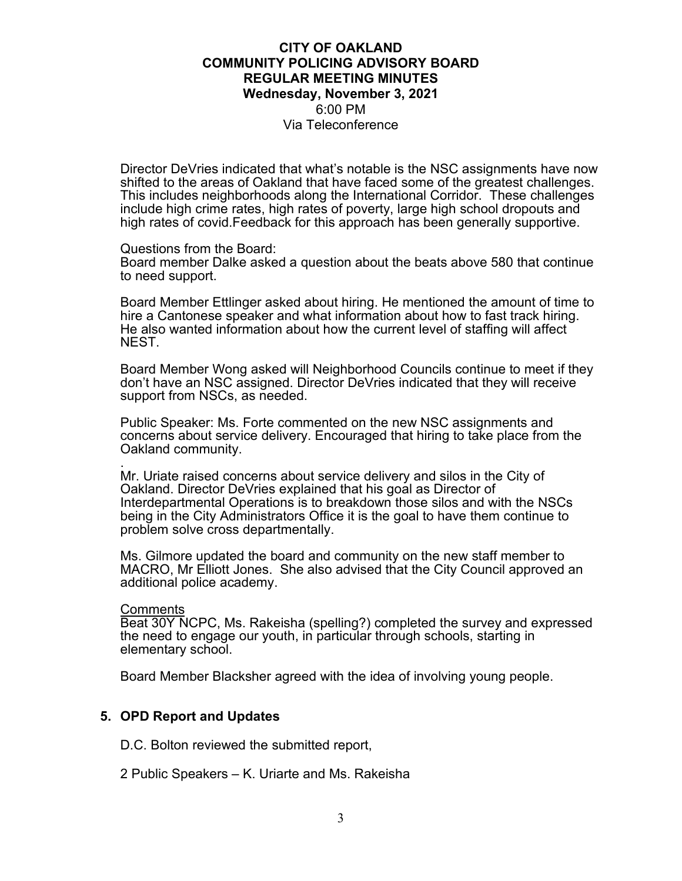### **CITY OF OAKLAND COMMUNITY POLICING ADVISORY BOARD REGULAR MEETING MINUTES Wednesday, November 3, 2021** 6:00 PM Via Teleconference

Director DeVries indicated that what's notable is the NSC assignments have now shifted to the areas of Oakland that have faced some of the greatest challenges. This includes neighborhoods along the International Corridor. These challenges include high crime rates, high rates of poverty, large high school dropouts and high rates of covid.Feedback for this approach has been generally supportive.

#### Questions from the Board:

Board member Dalke asked a question about the beats above 580 that continue to need support.

Board Member Ettlinger asked about hiring. He mentioned the amount of time to hire a Cantonese speaker and what information about how to fast track hiring. He also wanted information about how the current level of staffing will affect NEST.

Board Member Wong asked will Neighborhood Councils continue to meet if they don't have an NSC assigned. Director DeVries indicated that they will receive support from NSCs, as needed.

Public Speaker: Ms. Forte commented on the new NSC assignments and concerns about service delivery. Encouraged that hiring to take place from the Oakland community.

. Mr. Uriate raised concerns about service delivery and silos in the City of Oakland. Director DeVries explained that his goal as Director of Interdepartmental Operations is to breakdown those silos and with the NSCs being in the City Administrators Office it is the goal to have them continue to problem solve cross departmentally.

Ms. Gilmore updated the board and community on the new staff member to MACRO, Mr Elliott Jones. She also advised that the City Council approved an additional police academy.

#### Comments

Beat 30Y NCPC, Ms. Rakeisha (spelling?) completed the survey and expressed the need to engage our youth, in particular through schools, starting in elementary school.

Board Member Blacksher agreed with the idea of involving young people.

### **5. OPD Report and Updates**

D.C. Bolton reviewed the submitted report,

2 Public Speakers – K. Uriarte and Ms. Rakeisha